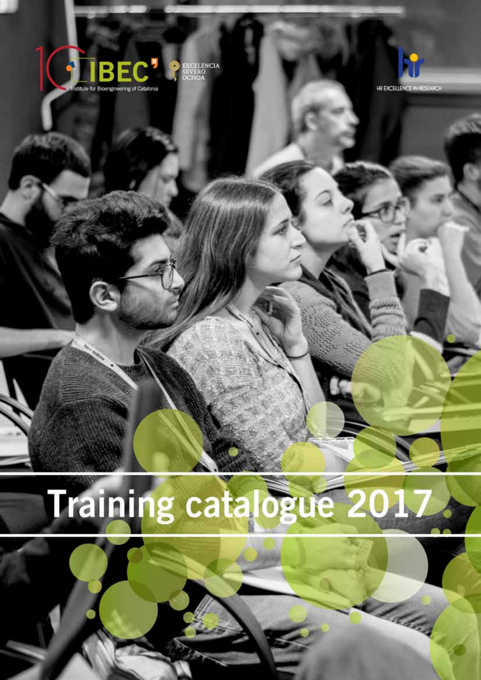



The hold

# Training catalogue 2017.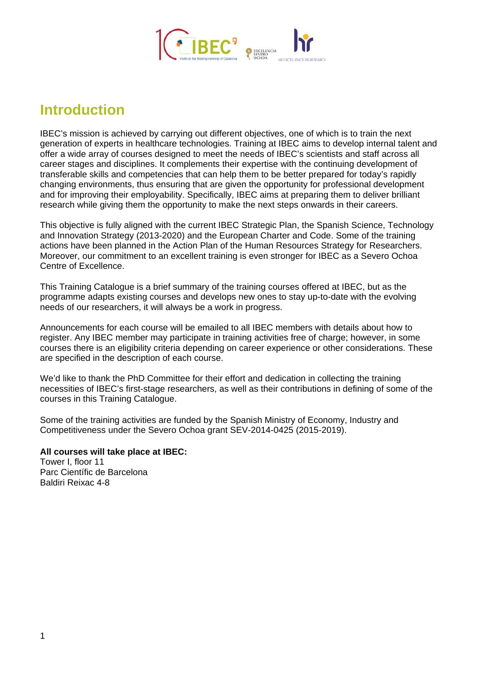

# **Introduction**

IBEC's mission is achieved by carrying out different objectives, one of which is to train the next generation of experts in healthcare technologies. Training at IBEC aims to develop internal talent and offer a wide array of courses designed to meet the needs of IBEC's scientists and staff across all career stages and disciplines. It complements their expertise with the continuing development of transferable skills and competencies that can help them to be better prepared for today's rapidly changing environments, thus ensuring that are given the opportunity for professional development and for improving their employability. Specifically, IBEC aims at preparing them to deliver brilliant research while giving them the opportunity to make the next steps onwards in their careers.

This objective is fully aligned with the current IBEC Strategic Plan, the Spanish Science, Technology and Innovation Strategy (2013-2020) and the European Charter and Code. Some of the training actions have been planned in the Action Plan of the Human Resources Strategy for Researchers. Moreover, our commitment to an excellent training is even stronger for IBEC as a Severo Ochoa Centre of Excellence.

This Training Catalogue is a brief summary of the training courses offered at IBEC, but as the programme adapts existing courses and develops new ones to stay up-to-date with the evolving needs of our researchers, it will always be a work in progress.

Announcements for each course will be emailed to all IBEC members with details about how to register. Any IBEC member may participate in training activities free of charge; however, in some courses there is an eligibility criteria depending on career experience or other considerations. These are specified in the description of each course.

We'd like to thank the PhD Committee for their effort and dedication in collecting the training necessities of IBEC's first-stage researchers, as well as their contributions in defining of some of the courses in this Training Catalogue.

Some of the training activities are funded by the Spanish Ministry of Economy, Industry and Competitiveness under the Severo Ochoa grant SEV-2014-0425 (2015-2019).

**All courses will take place at IBEC:**  Tower I, floor 11

Parc Científic de Barcelona Baldiri Reixac 4-8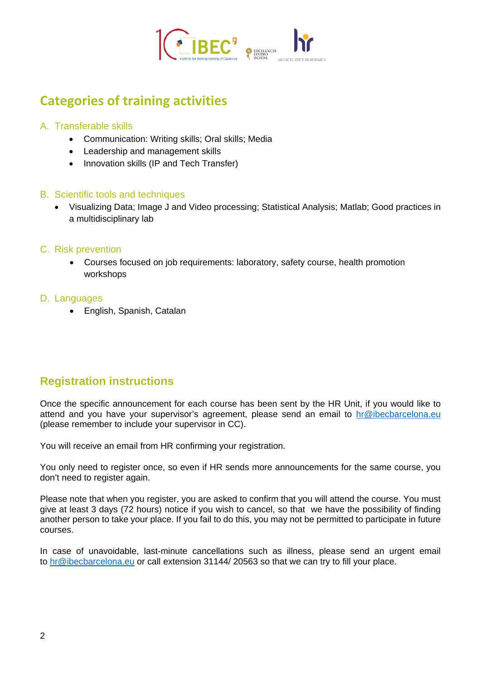

# **Categories of training activities**

# A. Transferable skills

- Communication: Writing skills; Oral skills; Media
- Leadership and management skills
- Innovation skills (IP and Tech Transfer)

#### B. Scientific tools and techniques

• Visualizing Data; Image J and Video processing; Statistical Analysis; Matlab; Good practices in a multidisciplinary lab

# C. Risk prevention

• Courses focused on job requirements: laboratory, safety course, health promotion workshops

#### D. Languages

• English, Spanish, Catalan

# **Registration instructions**

Once the specific announcement for each course has been sent by the HR Unit, if you would like to attend and you have your supervisor's agreement, please send an email to [hr@ibecbarcelona.eu](mailto:hr@ibecbarcelona.eu) (please remember to include your supervisor in CC).

You will receive an email from HR confirming your registration.

You only need to register once, so even if HR sends more announcements for the same course, you don't need to register again.

Please note that when you register, you are asked to confirm that you will attend the course. You must give at least 3 days (72 hours) notice if you wish to cancel, so that we have the possibility of finding another person to take your place. If you fail to do this, you may not be permitted to participate in future courses.

In case of unavoidable, last-minute cancellations such as illness, please send an urgent email to [hr@ibecbarcelona.eu](mailto:hr@ibecbarcelona.eu) or call extension 31144/ 20563 so that we can try to fill your place.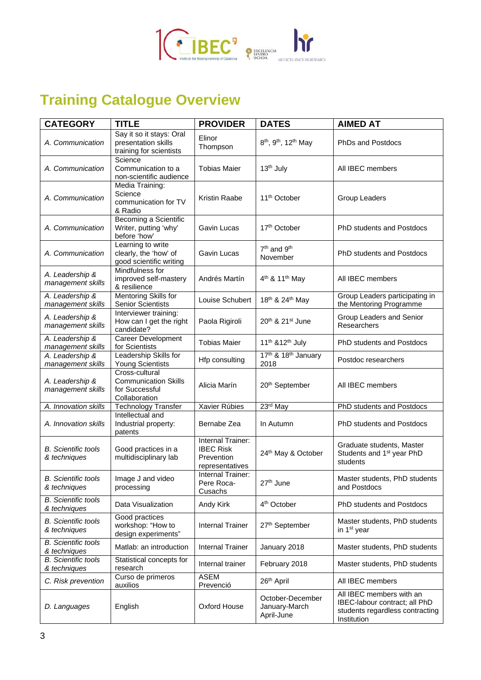

# **Training Catalogue Overview**

| <b>CATEGORY</b>                            | <b>TITLE</b>                                                                     | <b>PROVIDER</b>                                                        | <b>DATES</b>                                             | <b>AIMED AT</b>                                                                                             |
|--------------------------------------------|----------------------------------------------------------------------------------|------------------------------------------------------------------------|----------------------------------------------------------|-------------------------------------------------------------------------------------------------------------|
| A. Communication                           | Say it so it stays: Oral<br>presentation skills<br>training for scientists       | Elinor<br>Thompson                                                     | 8 <sup>th</sup> , 9 <sup>th</sup> , 12 <sup>th</sup> May | PhDs and Postdocs                                                                                           |
| A. Communication                           | Science<br>Communication to a<br>non-scientific audience                         | <b>Tobias Maier</b>                                                    | 13 <sup>th</sup> July                                    | All IBEC members                                                                                            |
| A. Communication                           | Media Training:<br>Science<br>communication for TV<br>& Radio                    | Kristin Raabe                                                          | 11 <sup>th</sup> October                                 | Group Leaders                                                                                               |
| A. Communication                           | Becoming a Scientific<br>Writer, putting 'why'<br>before 'how'                   | Gavin Lucas                                                            | 17 <sup>th</sup> October                                 | <b>PhD students and Postdocs</b>                                                                            |
| A. Communication                           | Learning to write<br>clearly, the 'how' of<br>good scientific writing            | Gavin Lucas                                                            | 7 <sup>th</sup> and 9 <sup>th</sup><br>November          | PhD students and Postdocs                                                                                   |
| A. Leadership &<br>management skills       | Mindfulness for<br>improved self-mastery<br>& resilience                         | Andrés Martín                                                          | 4 <sup>th</sup> & 11 <sup>th</sup> May                   | All IBEC members                                                                                            |
| A. Leadership &<br>management skills       | Mentoring Skills for<br><b>Senior Scientists</b>                                 | Louise Schubert                                                        | 18 <sup>th</sup> & 24 <sup>th</sup> May                  | Group Leaders participating in<br>the Mentoring Programme                                                   |
| A. Leadership &<br>management skills       | Interviewer training:<br>How can I get the right<br>candidate?                   | Paola Rigiroli                                                         | $20th$ & $21st$ June                                     | Group Leaders and Senior<br>Researchers                                                                     |
| A. Leadership &<br>management skills       | Career Development<br>for Scientists                                             | <b>Tobias Maier</b>                                                    | 11 <sup>th</sup> &12 <sup>th</sup> July                  | <b>PhD students and Postdocs</b>                                                                            |
| A. Leadership &<br>management skills       | Leadership Skills for<br><b>Young Scientists</b>                                 | Hfp consulting                                                         | 17th & 18th January<br>2018                              | Postdoc researchers                                                                                         |
| A. Leadership &<br>management skills       | Cross-cultural<br><b>Communication Skills</b><br>for Successful<br>Collaboration | Alicia Marín                                                           | 20 <sup>th</sup> September                               | All IBEC members                                                                                            |
| A. Innovation skills                       | <b>Technology Transfer</b>                                                       | Xavier Rúbies                                                          | 23rd May                                                 | PhD students and Postdocs                                                                                   |
| A. Innovation skills                       | Intellectual and<br>Industrial property:<br>patents                              | Bernabe Zea                                                            | In Autumn                                                | <b>PhD students and Postdocs</b>                                                                            |
| <b>B.</b> Scientific tools<br>& techniques | Good practices in a<br>multidisciplinary lab                                     | Internal Trainer:<br><b>IBEC Risk</b><br>Prevention<br>representatives | 24th May & October                                       | Graduate students, Master<br>Students and 1 <sup>st</sup> year PhD<br>students                              |
| <b>B.</b> Scientific tools<br>& techniques | Image J and video<br>processing                                                  | Internal Trainer:<br>Pere Roca-<br>Cusachs                             | 27 <sup>th</sup> June                                    | Master students, PhD students<br>and Postdocs                                                               |
| <b>B.</b> Scientific tools<br>& techniques | Data Visualization                                                               | Andy Kirk                                                              | 4 <sup>th</sup> October                                  | <b>PhD students and Postdocs</b>                                                                            |
| <b>B.</b> Scientific tools<br>& techniques | Good practices<br>workshop: "How to<br>design experiments"                       | <b>Internal Trainer</b>                                                | 27th September                                           | Master students, PhD students<br>in 1 <sup>st</sup> year                                                    |
| <b>B.</b> Scientific tools<br>& techniques | Matlab: an introduction                                                          | <b>Internal Trainer</b>                                                | January 2018                                             | Master students, PhD students                                                                               |
| <b>B.</b> Scientific tools<br>& techniques | Statistical concepts for<br>research                                             | Internal trainer                                                       | February 2018                                            | Master students, PhD students                                                                               |
| C. Risk prevention                         | Curso de primeros<br>auxilios                                                    | <b>ASEM</b><br>Prevenció                                               | 26 <sup>th</sup> April                                   | All IBEC members                                                                                            |
| D. Languages                               | English                                                                          | Oxford House                                                           | October-December<br>January-March<br>April-June          | All IBEC members with an<br>IBEC-labour contract; all PhD<br>students regardless contracting<br>Institution |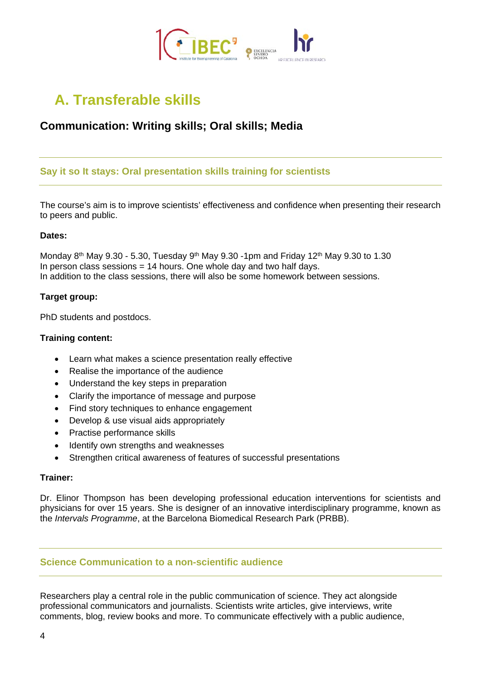

# **A. Transferable skills**

# **Communication: Writing skills; Oral skills; Media**

# **Say it so It stays: Oral presentation skills training for scientists**

The course's aim is to improve scientists' effectiveness and confidence when presenting their research to peers and public.

#### **Dates:**

Monday 8<sup>th</sup> May 9.30 - 5.30, Tuesday 9<sup>th</sup> May 9.30 -1pm and Friday 12<sup>th</sup> May 9.30 to 1.30 In person class sessions = 14 hours. One whole day and two half days. In addition to the class sessions, there will also be some homework between sessions.

#### **Target group:**

PhD students and postdocs.

#### **Training content:**

- Learn what makes a science presentation really effective
- Realise the importance of the audience
- Understand the key steps in preparation
- Clarify the importance of message and purpose
- Find story techniques to enhance engagement
- Develop & use visual aids appropriately
- Practise performance skills
- Identify own strengths and weaknesses
- Strengthen critical awareness of features of successful presentations

#### **Trainer:**

Dr. Elinor Thompson has been developing professional education interventions for scientists and physicians for over 15 years. She is designer of an innovative interdisciplinary programme, known as the *Intervals Programme*, at the Barcelona Biomedical Research Park (PRBB).

#### **Science Communication to a non-scientific audience**

Researchers play a central role in the public communication of science. They act alongside professional communicators and journalists. Scientists write articles, give interviews, write comments, blog, review books and more. To communicate effectively with a public audience,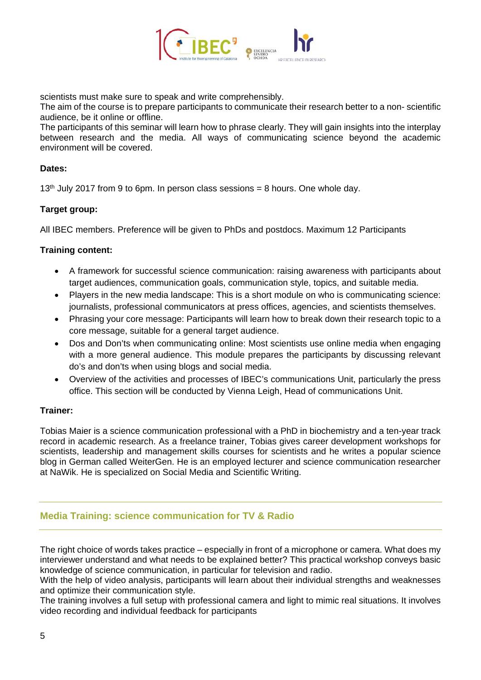

scientists must make sure to speak and write comprehensibly.

The aim of the course is to prepare participants to communicate their research better to a non- scientific audience, be it online or offline.

The participants of this seminar will learn how to phrase clearly. They will gain insights into the interplay between research and the media. All ways of communicating science beyond the academic environment will be covered.

#### **Dates:**

 $13<sup>th</sup>$  July 2017 from 9 to 6pm. In person class sessions = 8 hours. One whole day.

#### **Target group:**

All IBEC members. Preference will be given to PhDs and postdocs. Maximum 12 Participants

#### **Training content:**

- A framework for successful science communication: raising awareness with participants about target audiences, communication goals, communication style, topics, and suitable media.
- Players in the new media landscape: This is a short module on who is communicating science: journalists, professional communicators at press offices, agencies, and scientists themselves.
- Phrasing your core message: Participants will learn how to break down their research topic to a core message, suitable for a general target audience.
- Dos and Don'ts when communicating online: Most scientists use online media when engaging with a more general audience. This module prepares the participants by discussing relevant do's and don'ts when using blogs and social media.
- Overview of the activities and processes of IBEC's communications Unit, particularly the press office. This section will be conducted by Vienna Leigh, Head of communications Unit.

#### **Trainer:**

Tobias Maier is a science communication professional with a PhD in biochemistry and a ten-year track record in academic research. As a freelance trainer, Tobias gives career development workshops for scientists, leadership and management skills courses for scientists and he writes a popular science blog in German called WeiterGen. He is an employed lecturer and science communication researcher at NaWik. He is specialized on Social Media and Scientific Writing.

# **Media Training: science communication for TV & Radio**

The right choice of words takes practice – especially in front of a microphone or camera. What does my interviewer understand and what needs to be explained better? This practical workshop conveys basic knowledge of science communication, in particular for television and radio.

With the help of video analysis, participants will learn about their individual strengths and weaknesses and optimize their communication style.

The training involves a full setup with professional camera and light to mimic real situations. It involves video recording and individual feedback for participants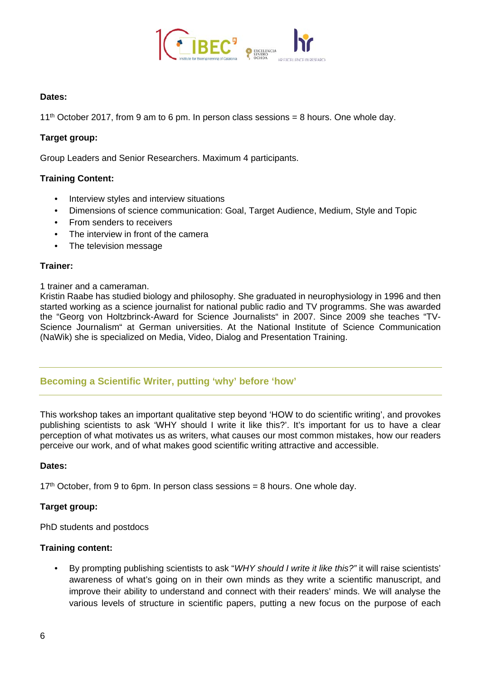

#### **Dates:**

11<sup>th</sup> October 2017, from 9 am to 6 pm. In person class sessions = 8 hours. One whole day.

#### **Target group:**

Group Leaders and Senior Researchers. Maximum 4 participants.

#### **Training Content:**

- Interview styles and interview situations
- Dimensions of science communication: Goal, Target Audience, Medium, Style and Topic
- From senders to receivers
- The interview in front of the camera
- The television message

#### **Trainer:**

1 trainer and a cameraman.

Kristin Raabe has studied biology and philosophy. She graduated in neurophysiology in 1996 and then started working as a science journalist for national public radio and TV programms. She was awarded the "Georg von Holtzbrinck-Award for Science Journalists" in 2007. Since 2009 she teaches "TV-Science Journalism" at German universities. At the National Institute of Science Communication (NaWik) she is specialized on Media, Video, Dialog and Presentation Training.

# **Becoming a Scientific Writer, putting 'why' before 'how'**

This workshop takes an important qualitative step beyond 'HOW to do scientific writing', and provokes publishing scientists to ask 'WHY should I write it like this?'. It's important for us to have a clear perception of what motivates us as writers, what causes our most common mistakes, how our readers perceive our work, and of what makes good scientific writing attractive and accessible.

#### **Dates:**

 $17<sup>th</sup>$  October, from 9 to 6pm. In person class sessions = 8 hours. One whole day.

#### **Target group:**

PhD students and postdocs

#### **Training content:**

• By prompting publishing scientists to ask "*WHY should I write it like this?"* it will raise scientists' awareness of what's going on in their own minds as they write a scientific manuscript, and improve their ability to understand and connect with their readers' minds. We will analyse the various levels of structure in scientific papers, putting a new focus on the purpose of each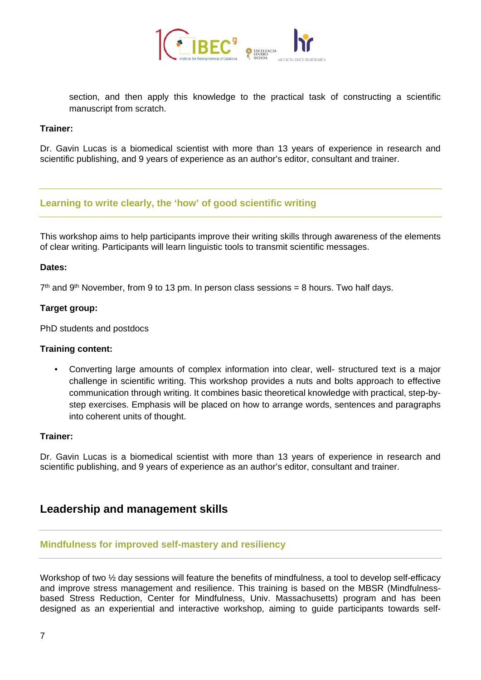

section, and then apply this knowledge to the practical task of constructing a scientific manuscript from scratch.

#### **Trainer:**

Dr. Gavin Lucas is a biomedical scientist with more than 13 years of experience in research and scientific publishing, and 9 years of experience as an author's editor, consultant and trainer.

# **Learning to write clearly, the 'how' of good scientific writing**

This workshop aims to help participants improve their writing skills through awareness of the elements of clear writing. Participants will learn linguistic tools to transmit scientific messages.

#### **Dates:**

 $7<sup>th</sup>$  and 9<sup>th</sup> November, from 9 to 13 pm. In person class sessions = 8 hours. Two half days.

#### **Target group:**

PhD students and postdocs

#### **Training content:**

• Converting large amounts of complex information into clear, well- structured text is a major challenge in scientific writing. This workshop provides a nuts and bolts approach to effective communication through writing. It combines basic theoretical knowledge with practical, step-bystep exercises. Emphasis will be placed on how to arrange words, sentences and paragraphs into coherent units of thought.

#### **Trainer:**

Dr. Gavin Lucas is a biomedical scientist with more than 13 years of experience in research and scientific publishing, and 9 years of experience as an author's editor, consultant and trainer.

# **Leadership and management skills**

#### **Mindfulness for improved self-mastery and resiliency**

Workshop of two  $\frac{1}{2}$  day sessions will feature the benefits of mindfulness, a tool to develop self-efficacy and improve stress management and resilience. This training is based on the MBSR (Mindfulnessbased Stress Reduction, Center for Mindfulness, Univ. Massachusetts) program and has been designed as an experiential and interactive workshop, aiming to guide participants towards self-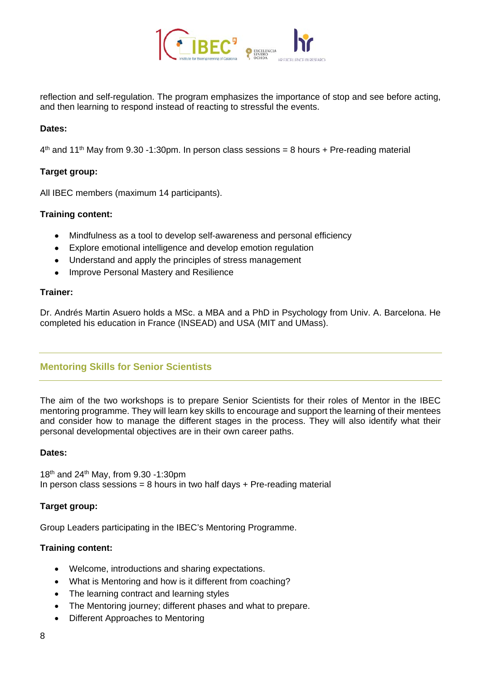

reflection and self-regulation. The program emphasizes the importance of stop and see before acting, and then learning to respond instead of reacting to stressful the events.

#### **Dates:**

 $4<sup>th</sup>$  and 11<sup>th</sup> May from 9.30 -1:30pm. In person class sessions = 8 hours + Pre-reading material

#### **Target group:**

All IBEC members (maximum 14 participants).

#### **Training content:**

- Mindfulness as a tool to develop self-awareness and personal efficiency
- Explore emotional intelligence and develop emotion regulation
- Understand and apply the principles of stress management
- Improve Personal Mastery and Resilience

#### **Trainer:**

Dr. Andrés Martin Asuero holds a MSc. a MBA and a PhD in Psychology from Univ. A. Barcelona. He completed his education in France (INSEAD) and USA (MIT and UMass).

# **Mentoring Skills for Senior Scientists**

The aim of the two workshops is to prepare Senior Scientists for their roles of Mentor in the IBEC mentoring programme. They will learn key skills to encourage and support the learning of their mentees and consider how to manage the different stages in the process. They will also identify what their personal developmental objectives are in their own career paths.

#### **Dates:**

18th and 24th May, from 9.30 -1:30pm In person class sessions = 8 hours in two half days  $+$  Pre-reading material

#### **Target group:**

Group Leaders participating in the IBEC's Mentoring Programme.

#### **Training content:**

- Welcome, introductions and sharing expectations.
- What is Mentoring and how is it different from coaching?
- The learning contract and learning styles
- The Mentoring journey; different phases and what to prepare.
- Different Approaches to Mentoring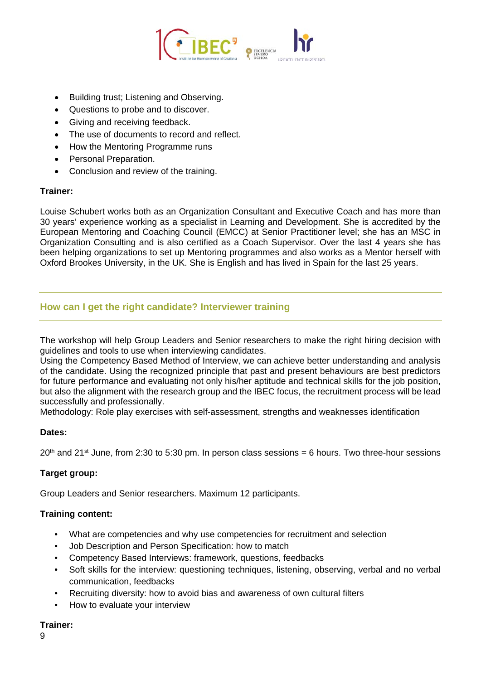

- Building trust; Listening and Observing.
- Questions to probe and to discover.
- Giving and receiving feedback.
- The use of documents to record and reflect.
- How the Mentoring Programme runs
- Personal Preparation.
- Conclusion and review of the training.

#### **Trainer:**

Louise Schubert works both as an Organization Consultant and Executive Coach and has more than 30 years' experience working as a specialist in Learning and Development. She is accredited by the European Mentoring and Coaching Council (EMCC) at Senior Practitioner level; she has an MSC in Organization Consulting and is also certified as a Coach Supervisor. Over the last 4 years she has been helping organizations to set up Mentoring programmes and also works as a Mentor herself with Oxford Brookes University, in the UK. She is English and has lived in Spain for the last 25 years.

# **How can I get the right candidate? Interviewer training**

The workshop will help Group Leaders and Senior researchers to make the right hiring decision with guidelines and tools to use when interviewing candidates.

Using the Competency Based Method of Interview, we can achieve better understanding and analysis of the candidate. Using the recognized principle that past and present behaviours are best predictors for future performance and evaluating not only his/her aptitude and technical skills for the job position, but also the alignment with the research group and the IBEC focus, the recruitment process will be lead successfully and professionally.

Methodology: Role play exercises with self-assessment, strengths and weaknesses identification

#### **Dates:**

 $20<sup>th</sup>$  and 21<sup>st</sup> June, from 2:30 to 5:30 pm. In person class sessions = 6 hours. Two three-hour sessions

# **Target group:**

Group Leaders and Senior researchers. Maximum 12 participants.

#### **Training content:**

- What are competencies and why use competencies for recruitment and selection
- Job Description and Person Specification: how to match
- Competency Based Interviews: framework, questions, feedbacks
- Soft skills for the interview: questioning techniques, listening, observing, verbal and no verbal communication, feedbacks
- Recruiting diversity: how to avoid bias and awareness of own cultural filters
- How to evaluate your interview

#### **Trainer:**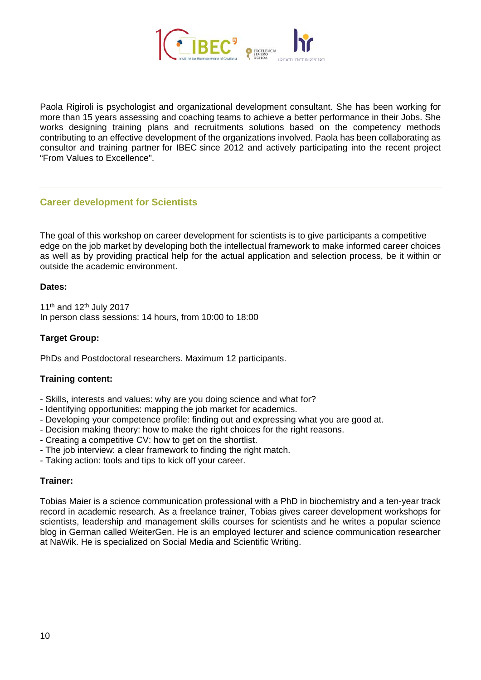

Paola Rigiroli is psychologist and organizational development consultant. She has been working for more than 15 years assessing and coaching teams to achieve a better performance in their Jobs. She works designing training plans and recruitments solutions based on the competency methods contributing to an effective development of the organizations involved. Paola has been collaborating as consultor and training partner for IBEC since 2012 and actively participating into the recent project "From Values to Excellence".

# **Career development for Scientists**

The goal of this workshop on career development for scientists is to give participants a competitive edge on the job market by developing both the intellectual framework to make informed career choices as well as by providing practical help for the actual application and selection process, be it within or outside the academic environment.

#### **Dates:**

11<sup>th</sup> and 12<sup>th</sup> July 2017 In person class sessions: 14 hours, from 10:00 to 18:00

#### **Target Group:**

PhDs and Postdoctoral researchers. Maximum 12 participants.

#### **Training content:**

- Skills, interests and values: why are you doing science and what for?
- Identifying opportunities: mapping the job market for academics.
- Developing your competence profile: finding out and expressing what you are good at.
- Decision making theory: how to make the right choices for the right reasons.
- Creating a competitive CV: how to get on the shortlist.
- The job interview: a clear framework to finding the right match.
- Taking action: tools and tips to kick off your career.

#### **Trainer:**

Tobias Maier is a science communication professional with a PhD in biochemistry and a ten-year track record in academic research. As a freelance trainer, Tobias gives career development workshops for scientists, leadership and management skills courses for scientists and he writes a popular science blog in German called WeiterGen. He is an employed lecturer and science communication researcher at NaWik. He is specialized on Social Media and Scientific Writing.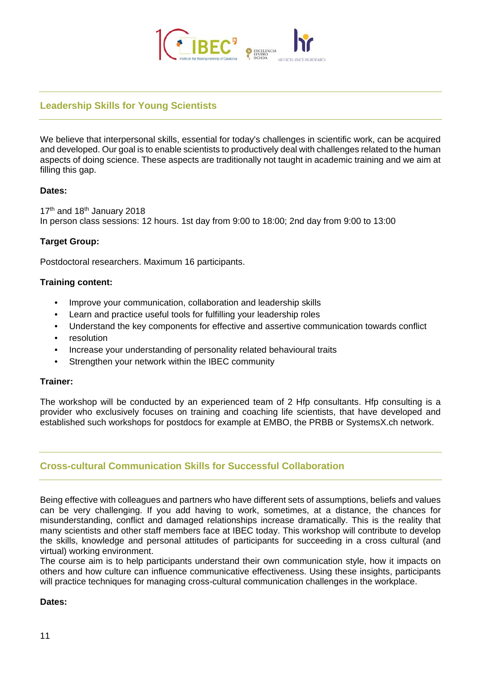

# **Leadership Skills for Young Scientists**

We believe that interpersonal skills, essential for today's challenges in scientific work, can be acquired and developed. Our goal is to enable scientists to productively deal with challenges related to the human aspects of doing science. These aspects are traditionally not taught in academic training and we aim at filling this gap.

#### **Dates:**

17<sup>th</sup> and 18<sup>th</sup> January 2018 In person class sessions: 12 hours. 1st day from 9:00 to 18:00; 2nd day from 9:00 to 13:00

#### **Target Group:**

Postdoctoral researchers. Maximum 16 participants.

#### **Training content:**

- Improve your communication, collaboration and leadership skills
- Learn and practice useful tools for fulfilling your leadership roles
- Understand the key components for effective and assertive communication towards conflict
- resolution
- Increase your understanding of personality related behavioural traits
- Strengthen your network within the IBEC community

#### **Trainer:**

The workshop will be conducted by an experienced team of 2 Hfp consultants. Hfp consulting is a provider who exclusively focuses on training and coaching life scientists, that have developed and established such workshops for postdocs for example at EMBO, the PRBB or SystemsX.ch network.

# **Cross-cultural Communication Skills for Successful Collaboration**

Being effective with colleagues and partners who have different sets of assumptions, beliefs and values can be very challenging. If you add having to work, sometimes, at a distance, the chances for misunderstanding, conflict and damaged relationships increase dramatically. This is the reality that many scientists and other staff members face at IBEC today. This workshop will contribute to develop the skills, knowledge and personal attitudes of participants for succeeding in a cross cultural (and virtual) working environment.

The course aim is to help participants understand their own communication style, how it impacts on others and how culture can influence communicative effectiveness. Using these insights, participants will practice techniques for managing cross-cultural communication challenges in the workplace.

#### **Dates:**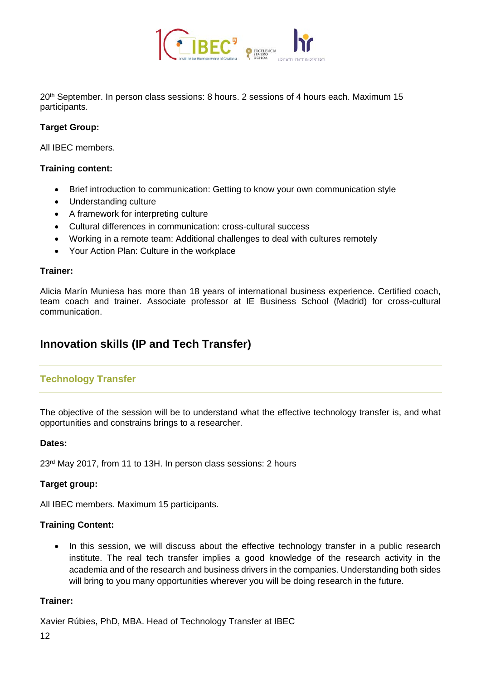

20<sup>th</sup> September. In person class sessions: 8 hours. 2 sessions of 4 hours each. Maximum 15 participants.

#### **Target Group:**

All IBEC members.

#### **Training content:**

- Brief introduction to communication: Getting to know your own communication style
- Understanding culture
- A framework for interpreting culture
- Cultural differences in communication: cross-cultural success
- Working in a remote team: Additional challenges to deal with cultures remotely
- Your Action Plan: Culture in the workplace

#### **Trainer:**

Alicia Marín Muniesa has more than 18 years of international business experience. Certified coach, team coach and trainer. Associate professor at IE Business School (Madrid) for cross-cultural communication.

# **Innovation skills (IP and Tech Transfer)**

# **Technology Transfer**

The objective of the session will be to understand what the effective technology transfer is, and what opportunities and constrains brings to a researcher.

#### **Dates:**

23rd May 2017, from 11 to 13H. In person class sessions: 2 hours

#### **Target group:**

All IBEC members. Maximum 15 participants.

#### **Training Content:**

• In this session, we will discuss about the effective technology transfer in a public research institute. The real tech transfer implies a good knowledge of the research activity in the academia and of the research and business drivers in the companies. Understanding both sides will bring to you many opportunities wherever you will be doing research in the future.

#### **Trainer:**

Xavier Rúbies, PhD, MBA. Head of Technology Transfer at IBEC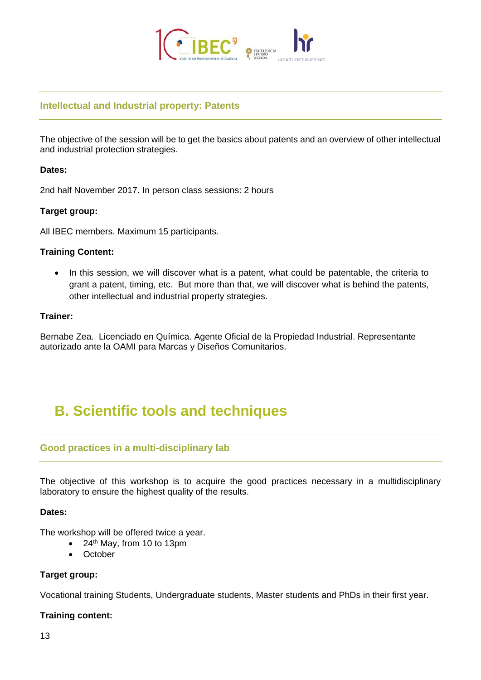

### **Intellectual and Industrial property: Patents**

The objective of the session will be to get the basics about patents and an overview of other intellectual and industrial protection strategies.

#### **Dates:**

2nd half November 2017. In person class sessions: 2 hours

#### **Target group:**

All IBEC members. Maximum 15 participants.

#### **Training Content:**

• In this session, we will discover what is a patent, what could be patentable, the criteria to grant a patent, timing, etc. But more than that, we will discover what is behind the patents, other intellectual and industrial property strategies.

#### **Trainer:**

Bernabe Zea. Licenciado en Química. Agente Oficial de la Propiedad Industrial. Representante autorizado ante la OAMI para Marcas y Diseños Comunitarios.

# **B. Scientific tools and techniques**

#### **Good practices in a multi-disciplinary lab**

The objective of this workshop is to acquire the good practices necessary in a multidisciplinary laboratory to ensure the highest quality of the results.

#### **Dates:**

The workshop will be offered twice a year.

- 24<sup>th</sup> May, from 10 to 13pm
- October

#### **Target group:**

Vocational training Students, Undergraduate students, Master students and PhDs in their first year.

#### **Training content:**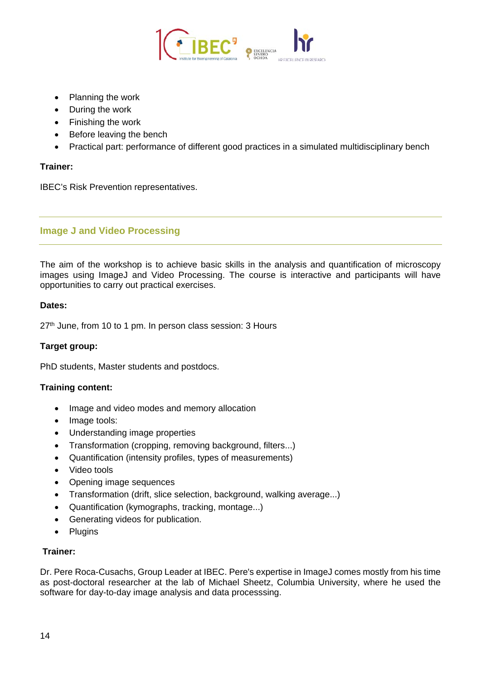

- Planning the work
- During the work
- Finishing the work
- Before leaving the bench
- Practical part: performance of different good practices in a simulated multidisciplinary bench

#### **Trainer:**

IBEC's Risk Prevention representatives.

# **Image J and Video Processing**

The aim of the workshop is to achieve basic skills in the analysis and quantification of microscopy images using ImageJ and Video Processing. The course is interactive and participants will have opportunities to carry out practical exercises.

#### **Dates:**

 $27<sup>th</sup>$  June, from 10 to 1 pm. In person class session: 3 Hours

#### **Target group:**

PhD students, Master students and postdocs.

#### **Training content:**

- Image and video modes and memory allocation
- Image tools:
- Understanding image properties
- Transformation (cropping, removing background, filters...)
- Quantification (intensity profiles, types of measurements)
- Video tools
- Opening image sequences
- Transformation (drift, slice selection, background, walking average...)
- Quantification (kymographs, tracking, montage...)
- Generating videos for publication.
- Plugins

#### **Trainer:**

Dr. Pere Roca-Cusachs, Group Leader at IBEC. Pere's expertise in ImageJ comes mostly from his time as post-doctoral researcher at the lab of Michael Sheetz, Columbia University, where he used the software for day-to-day image analysis and data processsing.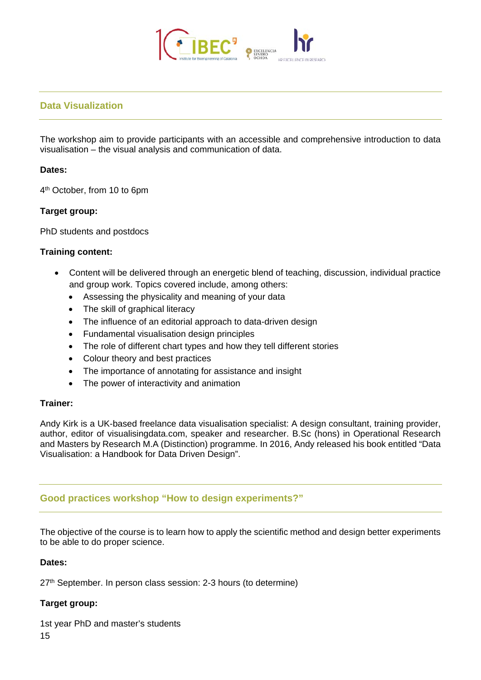

# **Data Visualization**

The workshop aim to provide participants with an accessible and comprehensive introduction to data visualisation – the visual analysis and communication of data.

#### **Dates:**

4th October, from 10 to 6pm

#### **Target group:**

PhD students and postdocs

#### **Training content:**

- Content will be delivered through an energetic blend of teaching, discussion, individual practice and group work. Topics covered include, among others:
	- Assessing the physicality and meaning of your data
	- The skill of graphical literacy
	- The influence of an editorial approach to data-driven design
	- Fundamental visualisation design principles
	- The role of different chart types and how they tell different stories
	- Colour theory and best practices
	- The importance of annotating for assistance and insight
	- The power of interactivity and animation

#### **Trainer:**

Andy Kirk is a UK-based freelance data visualisation specialist: A design consultant, training provider, author, editor of visualisingdata.com, speaker and researcher. B.Sc (hons) in Operational Research and Masters by Research M.A (Distinction) programme. In 2016, Andy released his book entitled "Data Visualisation: a Handbook for Data Driven Design".

# **Good practices workshop "How to design experiments?"**

The objective of the course is to learn how to apply the scientific method and design better experiments to be able to do proper science.

#### **Dates:**

27<sup>th</sup> September. In person class session: 2-3 hours (to determine)

#### **Target group:**

1st year PhD and master's students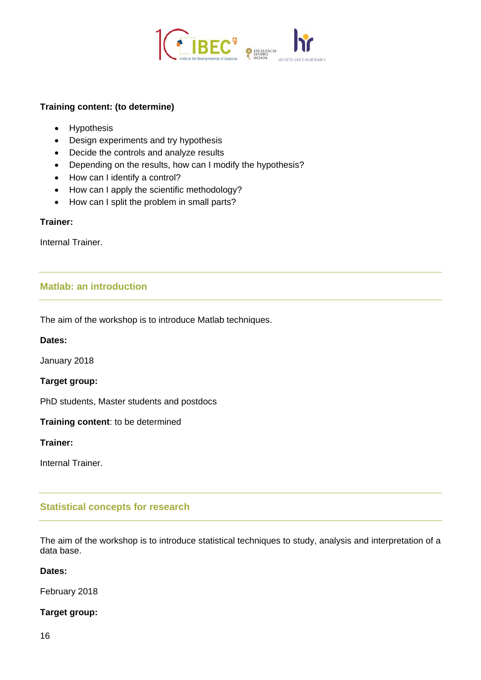

#### **Training content: (to determine)**

- Hypothesis
- Design experiments and try hypothesis
- Decide the controls and analyze results
- Depending on the results, how can I modify the hypothesis?
- How can I identify a control?
- How can I apply the scientific methodology?
- How can I split the problem in small parts?

#### **Trainer:**

Internal Trainer.

# **Matlab: an introduction**

The aim of the workshop is to introduce Matlab techniques.

**Dates:** 

January 2018

**Target group:**

PhD students, Master students and postdocs

**Training content**: to be determined

**Trainer:**

Internal Trainer.

# **Statistical concepts for research**

The aim of the workshop is to introduce statistical techniques to study, analysis and interpretation of a data base.

#### **Dates:**

February 2018

#### **Target group:**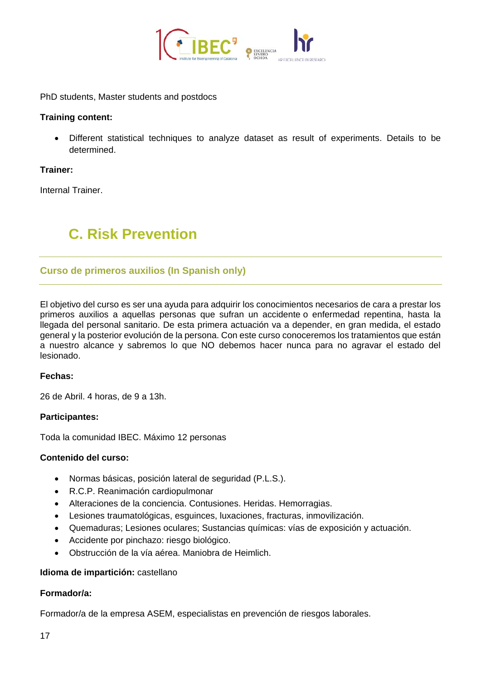

PhD students, Master students and postdocs

#### **Training content:**

• Different statistical techniques to analyze dataset as result of experiments. Details to be determined.

#### **Trainer:**

Internal Trainer.

# **C. Risk Prevention**

# **Curso de primeros auxilios (In Spanish only)**

El objetivo del curso es ser una ayuda para adquirir los conocimientos necesarios de cara a prestar los primeros auxilios a aquellas personas que sufran un accidente o enfermedad repentina, hasta la llegada del personal sanitario. De esta primera actuación va a depender, en gran medida, el estado general y la posterior evolución de la persona. Con este curso conoceremos los tratamientos que están a nuestro alcance y sabremos lo que NO debemos hacer nunca para no agravar el estado del lesionado.

#### **Fechas:**

26 de Abril. 4 horas, de 9 a 13h.

#### **Participantes:**

Toda la comunidad IBEC. Máximo 12 personas

#### **Contenido del curso:**

- Normas básicas, posición lateral de seguridad (P.L.S.).
- R.C.P. Reanimación cardiopulmonar
- Alteraciones de la conciencia. Contusiones. Heridas. Hemorragias.
- Lesiones traumatológicas, esguinces, luxaciones, fracturas, inmovilización.
- Quemaduras; Lesiones oculares; Sustancias químicas: vías de exposición y actuación.
- Accidente por pinchazo: riesgo biológico.
- Obstrucción de la vía aérea. Maniobra de Heimlich.

#### **Idioma de impartición:** castellano

#### **Formador/a:**

Formador/a de la empresa ASEM, especialistas en prevención de riesgos laborales.